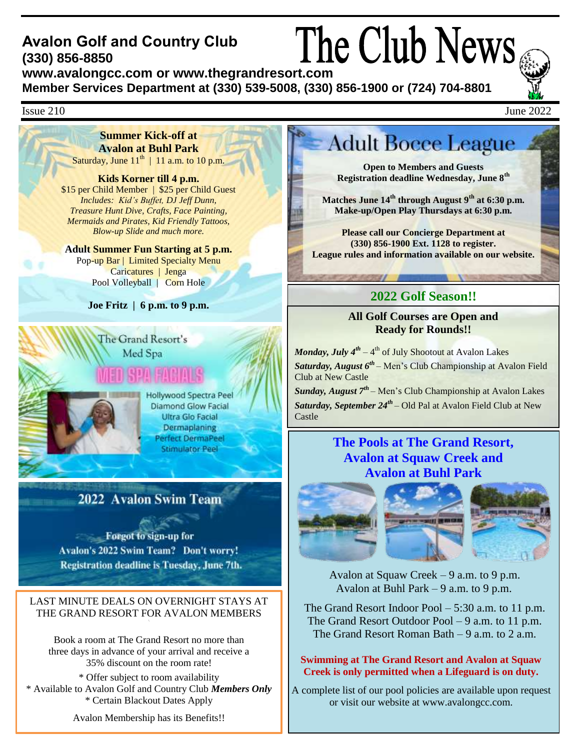### The Club News **Avalon Golf and Country Club (330) 856-8850 www.avalongcc.com or www.thegrandresort.com**

**Member Services Department at (330) 539-5008, (330) 856-1900 or (724) 704-8801**



### $\text{I}\text{S}$ sue 210 June 2022

February 2009 **Summer Kick-off at Avalon at Buhl Park**  Saturday, June  $11<sup>th</sup>$  | 11 a.m. to 10 p.m.

#### **Kids Korner till 4 p.m.**

\$15 per Child Member | \$25 per Child Guest *Includes: Kid's Buffet, DJ Jeff Dunn, Treasure Hunt Dive, Crafts, Face Painting, Mermaids and Pirates, Kid Friendly Tattoos, Blow-up Slide and much more.* 

**Adult Summer Fun Starting at 5 p.m.** Pop-up Bar | Limited Specialty Menu Caricatures | Jenga Pool Volleyball | Corn Hole

**Joe Fritz | 6 p.m. to 9 p.m.**

## The Grand Resort's Med Spa

**Hollywood Spectra Peel Diamond Glow Facial** Ultra Glo Facial Dermaplaning Perfect DermaPeel **Stimulator Peel** 

## 2022 Avalon Swim Team

**Example 15 Forgot to sign-up for** Avalon's 2022 Swim Team? Don't worry! Registration deadline is Tuesday, June 7th.

#### LAST MINUTE DEALS ON OVERNIGHT STAYS AT THE GRAND RESORT FOR AVALON MEMBERS

Book a room at The Grand Resort no more than three days in advance of your arrival and receive a 35% discount on the room rate!

\* Offer subject to room availability \* Available to Avalon Golf and Country Club *Members Only* \* Certain Blackout Dates Apply

Avalon Membership has its Benefits!!

# **Adult Bocce League**

**Open to Members and Guests Registration deadline Wednesday, June 8th**

**Matches June 14th through August 9th at 6:30 p.m. Make-up/Open Play Thursdays at 6:30 p.m.**

**Please call our Concierge Department at (330) 856-1900 Ext. 1128 to register. League rules and information available on our website.**

## **2022 Golf Season!!**

**All Golf Courses are Open and Ready for Rounds!!**

*Monday, July 4th* – 4 th of July Shootout at Avalon Lakes *Saturday, August 6th* – Men's Club Championship at Avalon Field Club at New Castle

*Sunday, August 7th* – Men's Club Championship at Avalon Lakes *Saturday, September 24th* – Old Pal at Avalon Field Club at New Castle

## **The Pools at The Grand Resort, Avalon at Squaw Creek and Avalon at Buhl Park**



Avalon at Squaw Creek – 9 a.m. to 9 p.m. Avalon at Buhl Park – 9 a.m. to 9 p.m.

The Grand Resort Indoor Pool – 5:30 a.m. to 11 p.m. The Grand Resort Outdoor Pool – 9 a.m. to 11 p.m. The Grand Resort Roman Bath – 9 a.m. to 2 a.m.

#### **Swimming at The Grand Resort and Avalon at Squaw Creek is only permitted when a Lifeguard is on duty.**

A complete list of our pool policies are available upon request or visit our website at [www.avalongcc.com.](http://www.avalongcc.com/)